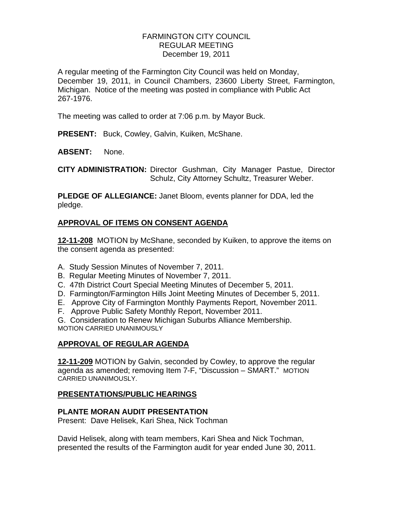## FARMINGTON CITY COUNCIL REGULAR MEETING December 19, 2011

A regular meeting of the Farmington City Council was held on Monday, December 19, 2011, in Council Chambers, 23600 Liberty Street, Farmington, Michigan. Notice of the meeting was posted in compliance with Public Act 267-1976.

The meeting was called to order at 7:06 p.m. by Mayor Buck.

**PRESENT:** Buck, Cowley, Galvin, Kuiken, McShane.

**ABSENT:** None.

**CITY ADMINISTRATION:** Director Gushman, City Manager Pastue, Director Schulz, City Attorney Schultz, Treasurer Weber.

**PLEDGE OF ALLEGIANCE:** Janet Bloom, events planner for DDA, led the pledge.

# **APPROVAL OF ITEMS ON CONSENT AGENDA**

**12-11-208** MOTION by McShane, seconded by Kuiken, to approve the items on the consent agenda as presented:

- A. Study Session Minutes of November 7, 2011.
- B. Regular Meeting Minutes of November 7, 2011.
- C. 47th District Court Special Meeting Minutes of December 5, 2011.
- D. Farmington/Farmington Hills Joint Meeting Minutes of December 5, 2011.
- E. Approve City of Farmington Monthly Payments Report, November 2011.
- F. Approve Public Safety Monthly Report, November 2011.

G. Consideration to Renew Michigan Suburbs Alliance Membership. MOTION CARRIED UNANIMOUSLY

# **APPROVAL OF REGULAR AGENDA**

**12-11-209** MOTION by Galvin, seconded by Cowley, to approve the regular agenda as amended; removing Item 7-F, "Discussion – SMART." MOTION CARRIED UNANIMOUSLY.

## **PRESENTATIONS/PUBLIC HEARINGS**

## **PLANTE MORAN AUDIT PRESENTATION**

Present: Dave Helisek, Kari Shea, Nick Tochman

David Helisek, along with team members, Kari Shea and Nick Tochman, presented the results of the Farmington audit for year ended June 30, 2011.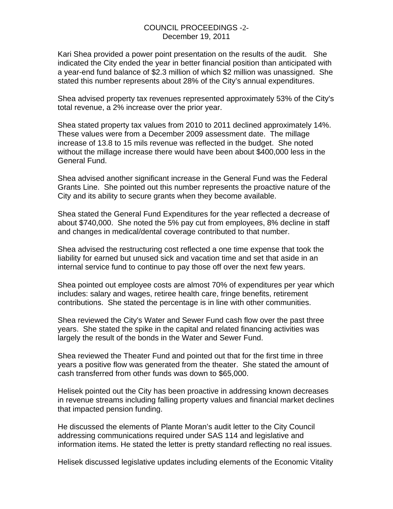#### COUNCIL PROCEEDINGS -2- December 19, 2011

Kari Shea provided a power point presentation on the results of the audit. She indicated the City ended the year in better financial position than anticipated with a year-end fund balance of \$2.3 million of which \$2 million was unassigned. She stated this number represents about 28% of the City's annual expenditures.

Shea advised property tax revenues represented approximately 53% of the City's total revenue, a 2% increase over the prior year.

Shea stated property tax values from 2010 to 2011 declined approximately 14%. These values were from a December 2009 assessment date. The millage increase of 13.8 to 15 mils revenue was reflected in the budget. She noted without the millage increase there would have been about \$400,000 less in the General Fund.

Shea advised another significant increase in the General Fund was the Federal Grants Line. She pointed out this number represents the proactive nature of the City and its ability to secure grants when they become available.

Shea stated the General Fund Expenditures for the year reflected a decrease of about \$740,000. She noted the 5% pay cut from employees, 8% decline in staff and changes in medical/dental coverage contributed to that number.

Shea advised the restructuring cost reflected a one time expense that took the liability for earned but unused sick and vacation time and set that aside in an internal service fund to continue to pay those off over the next few years.

Shea pointed out employee costs are almost 70% of expenditures per year which includes: salary and wages, retiree health care, fringe benefits, retirement contributions. She stated the percentage is in line with other communities.

Shea reviewed the City's Water and Sewer Fund cash flow over the past three years. She stated the spike in the capital and related financing activities was largely the result of the bonds in the Water and Sewer Fund.

Shea reviewed the Theater Fund and pointed out that for the first time in three years a positive flow was generated from the theater. She stated the amount of cash transferred from other funds was down to \$65,000.

Helisek pointed out the City has been proactive in addressing known decreases in revenue streams including falling property values and financial market declines that impacted pension funding.

He discussed the elements of Plante Moran's audit letter to the City Council addressing communications required under SAS 114 and legislative and information items. He stated the letter is pretty standard reflecting no real issues.

Helisek discussed legislative updates including elements of the Economic Vitality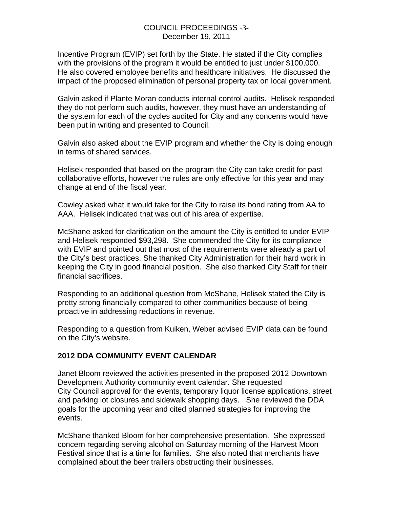#### COUNCIL PROCEEDINGS -3- December 19, 2011

Incentive Program (EVIP) set forth by the State. He stated if the City complies with the provisions of the program it would be entitled to just under \$100,000. He also covered employee benefits and healthcare initiatives. He discussed the impact of the proposed elimination of personal property tax on local government.

Galvin asked if Plante Moran conducts internal control audits. Helisek responded they do not perform such audits, however, they must have an understanding of the system for each of the cycles audited for City and any concerns would have been put in writing and presented to Council.

Galvin also asked about the EVIP program and whether the City is doing enough in terms of shared services.

Helisek responded that based on the program the City can take credit for past collaborative efforts, however the rules are only effective for this year and may change at end of the fiscal year.

Cowley asked what it would take for the City to raise its bond rating from AA to AAA. Helisek indicated that was out of his area of expertise.

McShane asked for clarification on the amount the City is entitled to under EVIP and Helisek responded \$93,298. She commended the City for its compliance with EVIP and pointed out that most of the requirements were already a part of the City's best practices. She thanked City Administration for their hard work in keeping the City in good financial position. She also thanked City Staff for their financial sacrifices.

Responding to an additional question from McShane, Helisek stated the City is pretty strong financially compared to other communities because of being proactive in addressing reductions in revenue.

Responding to a question from Kuiken, Weber advised EVIP data can be found on the City's website.

## **2012 DDA COMMUNITY EVENT CALENDAR**

Janet Bloom reviewed the activities presented in the proposed 2012 Downtown Development Authority community event calendar. She requested City Council approval for the events, temporary liquor license applications, street and parking lot closures and sidewalk shopping days. She reviewed the DDA goals for the upcoming year and cited planned strategies for improving the events.

McShane thanked Bloom for her comprehensive presentation. She expressed concern regarding serving alcohol on Saturday morning of the Harvest Moon Festival since that is a time for families. She also noted that merchants have complained about the beer trailers obstructing their businesses.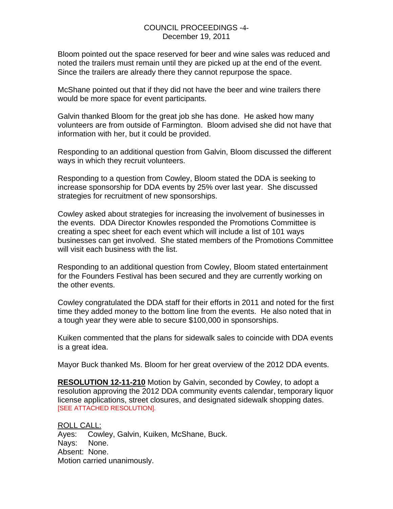#### COUNCIL PROCEEDINGS -4- December 19, 2011

Bloom pointed out the space reserved for beer and wine sales was reduced and noted the trailers must remain until they are picked up at the end of the event. Since the trailers are already there they cannot repurpose the space.

McShane pointed out that if they did not have the beer and wine trailers there would be more space for event participants.

Galvin thanked Bloom for the great job she has done. He asked how many volunteers are from outside of Farmington. Bloom advised she did not have that information with her, but it could be provided.

Responding to an additional question from Galvin, Bloom discussed the different ways in which they recruit volunteers.

Responding to a question from Cowley, Bloom stated the DDA is seeking to increase sponsorship for DDA events by 25% over last year. She discussed strategies for recruitment of new sponsorships.

Cowley asked about strategies for increasing the involvement of businesses in the events. DDA Director Knowles responded the Promotions Committee is creating a spec sheet for each event which will include a list of 101 ways businesses can get involved. She stated members of the Promotions Committee will visit each business with the list.

Responding to an additional question from Cowley, Bloom stated entertainment for the Founders Festival has been secured and they are currently working on the other events.

Cowley congratulated the DDA staff for their efforts in 2011 and noted for the first time they added money to the bottom line from the events. He also noted that in a tough year they were able to secure \$100,000 in sponsorships.

Kuiken commented that the plans for sidewalk sales to coincide with DDA events is a great idea.

Mayor Buck thanked Ms. Bloom for her great overview of the 2012 DDA events.

**RESOLUTION 12-11-210** Motion by Galvin, seconded by Cowley, to adopt a resolution approving the 2012 DDA community events calendar, temporary liquor license applications, street closures, and designated sidewalk shopping dates. [SEE ATTACHED RESOLUTION].

ROLL CALL: Ayes: Cowley, Galvin, Kuiken, McShane, Buck. Nays: None. Absent: None. Motion carried unanimously.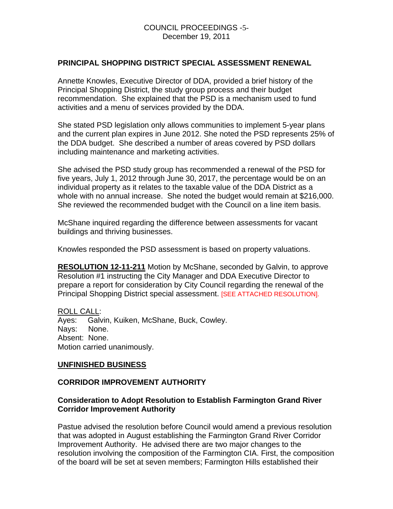### **PRINCIPAL SHOPPING DISTRICT SPECIAL ASSESSMENT RENEWAL**

Annette Knowles, Executive Director of DDA, provided a brief history of the Principal Shopping District, the study group process and their budget recommendation. She explained that the PSD is a mechanism used to fund activities and a menu of services provided by the DDA.

She stated PSD legislation only allows communities to implement 5-year plans and the current plan expires in June 2012. She noted the PSD represents 25% of the DDA budget. She described a number of areas covered by PSD dollars including maintenance and marketing activities.

She advised the PSD study group has recommended a renewal of the PSD for five years, July 1, 2012 through June 30, 2017, the percentage would be on an individual property as it relates to the taxable value of the DDA District as a whole with no annual increase. She noted the budget would remain at \$216,000. She reviewed the recommended budget with the Council on a line item basis.

McShane inquired regarding the difference between assessments for vacant buildings and thriving businesses.

Knowles responded the PSD assessment is based on property valuations.

**RESOLUTION 12-11-211** Motion by McShane, seconded by Galvin, to approve Resolution #1 instructing the City Manager and DDA Executive Director to prepare a report for consideration by City Council regarding the renewal of the Principal Shopping District special assessment. [SEE ATTACHED RESOLUTION].

ROLL CALL: Ayes: Galvin, Kuiken, McShane, Buck, Cowley. Nays: None. Absent: None. Motion carried unanimously.

#### **UNFINISHED BUSINESS**

#### **CORRIDOR IMPROVEMENT AUTHORITY**

#### **Consideration to Adopt Resolution to Establish Farmington Grand River Corridor Improvement Authority**

Pastue advised the resolution before Council would amend a previous resolution that was adopted in August establishing the Farmington Grand River Corridor Improvement Authority. He advised there are two major changes to the resolution involving the composition of the Farmington CIA. First, the composition of the board will be set at seven members; Farmington Hills established their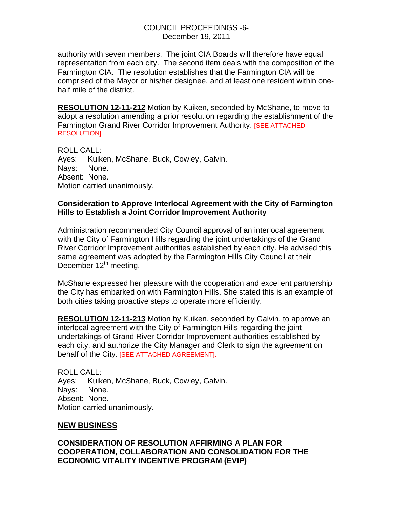#### COUNCIL PROCEEDINGS -6- December 19, 2011

authority with seven members. The joint CIA Boards will therefore have equal representation from each city. The second item deals with the composition of the Farmington CIA. The resolution establishes that the Farmington CIA will be comprised of the Mayor or his/her designee, and at least one resident within onehalf mile of the district.

**RESOLUTION 12-11-212** Motion by Kuiken, seconded by McShane, to move to adopt a resolution amending a prior resolution regarding the establishment of the Farmington Grand River Corridor Improvement Authority. [SEE ATTACHED RESOLUTION].

ROLL CALL: Ayes: Kuiken, McShane, Buck, Cowley, Galvin. Nays: None. Absent: None. Motion carried unanimously.

#### **Consideration to Approve Interlocal Agreement with the City of Farmington Hills to Establish a Joint Corridor Improvement Authority**

Administration recommended City Council approval of an interlocal agreement with the City of Farmington Hills regarding the joint undertakings of the Grand River Corridor Improvement authorities established by each city. He advised this same agreement was adopted by the Farmington Hills City Council at their December 12<sup>th</sup> meeting.

McShane expressed her pleasure with the cooperation and excellent partnership the City has embarked on with Farmington Hills. She stated this is an example of both cities taking proactive steps to operate more efficiently.

**RESOLUTION 12-11-213** Motion by Kuiken, seconded by Galvin, to approve an interlocal agreement with the City of Farmington Hills regarding the joint undertakings of Grand River Corridor Improvement authorities established by each city, and authorize the City Manager and Clerk to sign the agreement on behalf of the City. [SEE ATTACHED AGREEMENT].

ROLL CALL: Ayes: Kuiken, McShane, Buck, Cowley, Galvin. Nays: None. Absent: None. Motion carried unanimously.

## **NEW BUSINESS**

## **CONSIDERATION OF RESOLUTION AFFIRMING A PLAN FOR COOPERATION, COLLABORATION AND CONSOLIDATION FOR THE ECONOMIC VITALITY INCENTIVE PROGRAM (EVIP)**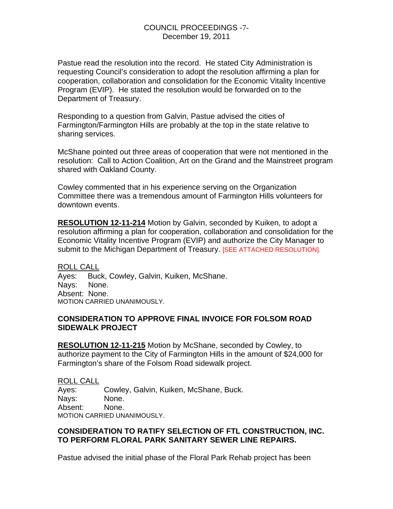Pastue read the resolution into the record. He stated City Administration is requesting Council's consideration to adopt the resolution affirming a plan for cooperation, collaboration and consolidation for the Economic Vitality Incentive Program (EVIP). He stated the resolution would be forwarded on to the Department of Treasury.

Responding to a question from Galvin, Pastue advised the cities of Farmington/Farmington Hills are probably at the top in the state relative to sharing services.

McShane pointed out three areas of cooperation that were not mentioned in the resolution: Call to Action Coalition, Art on the Grand and the Mainstreet program shared with Oakland County.

Cowley commented that in his experience serving on the Organization Committee there was a tremendous amount of Farmington Hills volunteers for downtown events.

**RESOLUTION 12-11-214** Motion by Galvin, seconded by Kuiken, to adopt a resolution affirming a plan for cooperation, collaboration and consolidation for the Economic Vitality Incentive Program (EVIP) and authorize the City Manager to submit to the Michigan Department of Treasury. [SEE ATTACHED RESOLUTION].

ROLL CALL Ayes: Buck, Cowley, Galvin, Kuiken, McShane. Nays: None. Absent: None. MOTION CARRIED UNANIMOUSLY.

## **CONSIDERATION TO APPROVE FINAL INVOICE FOR FOLSOM ROAD SIDEWALK PROJECT**

**RESOLUTION 12-11-215** Motion by McShane, seconded by Cowley, to authorize payment to the City of Farmington Hills in the amount of \$24,000 for Farmington's share of the Folsom Road sidewalk project.

ROLL CALL Ayes: Cowley, Galvin, Kuiken, McShane, Buck. Nays: None. Absent: None. MOTION CARRIED UNANIMOUSLY.

## **CONSIDERATION TO RATIFY SELECTION OF FTL CONSTRUCTION, INC. TO PERFORM FLORAL PARK SANITARY SEWER LINE REPAIRS.**

Pastue advised the initial phase of the Floral Park Rehab project has been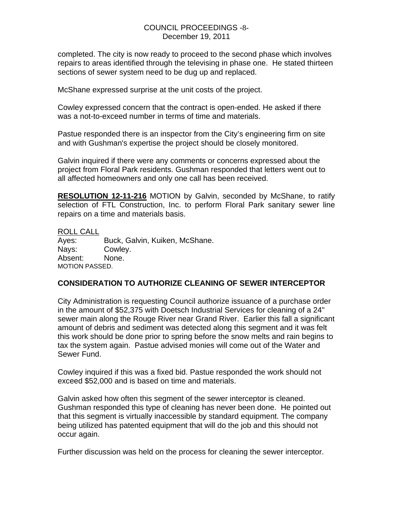#### COUNCIL PROCEEDINGS -8- December 19, 2011

completed. The city is now ready to proceed to the second phase which involves repairs to areas identified through the televising in phase one. He stated thirteen sections of sewer system need to be dug up and replaced.

McShane expressed surprise at the unit costs of the project.

Cowley expressed concern that the contract is open-ended. He asked if there was a not-to-exceed number in terms of time and materials.

Pastue responded there is an inspector from the City's engineering firm on site and with Gushman's expertise the project should be closely monitored.

Galvin inquired if there were any comments or concerns expressed about the project from Floral Park residents. Gushman responded that letters went out to all affected homeowners and only one call has been received.

**RESOLUTION 12-11-216** MOTION by Galvin, seconded by McShane, to ratify selection of FTL Construction, Inc. to perform Floral Park sanitary sewer line repairs on a time and materials basis.

#### ROLL CALL

Ayes: Buck, Galvin, Kuiken, McShane. Nays: Cowley. Absent: None. MOTION PASSED.

## **CONSIDERATION TO AUTHORIZE CLEANING OF SEWER INTERCEPTOR**

City Administration is requesting Council authorize issuance of a purchase order in the amount of \$52,375 with Doetsch Industrial Services for cleaning of a 24" sewer main along the Rouge River near Grand River. Earlier this fall a significant amount of debris and sediment was detected along this segment and it was felt this work should be done prior to spring before the snow melts and rain begins to tax the system again. Pastue advised monies will come out of the Water and Sewer Fund.

Cowley inquired if this was a fixed bid. Pastue responded the work should not exceed \$52,000 and is based on time and materials.

Galvin asked how often this segment of the sewer interceptor is cleaned. Gushman responded this type of cleaning has never been done. He pointed out that this segment is virtually inaccessible by standard equipment. The company being utilized has patented equipment that will do the job and this should not occur again.

Further discussion was held on the process for cleaning the sewer interceptor.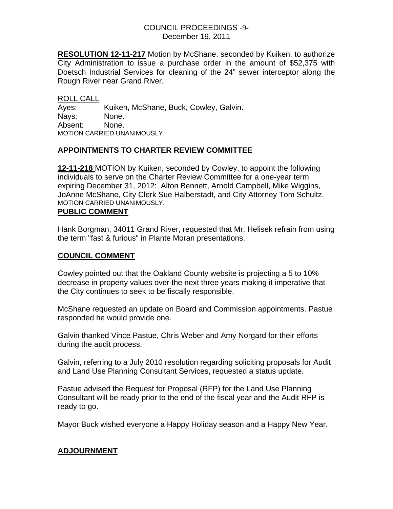### COUNCIL PROCEEDINGS -9- December 19, 2011

**RESOLUTION 12-11-217** Motion by McShane, seconded by Kuiken, to authorize City Administration to issue a purchase order in the amount of \$52,375 with Doetsch Industrial Services for cleaning of the 24" sewer interceptor along the Rough River near Grand River.

ROLL CALL Ayes: Kuiken, McShane, Buck, Cowley, Galvin. Nays: None. Absent: None. MOTION CARRIED UNANIMOUSLY.

## **APPOINTMENTS TO CHARTER REVIEW COMMITTEE**

**12-11-218** MOTION by Kuiken, seconded by Cowley, to appoint the following individuals to serve on the Charter Review Committee for a one-year term expiring December 31, 2012: Alton Bennett, Arnold Campbell, Mike Wiggins, JoAnne McShane, City Clerk Sue Halberstadt, and City Attorney Tom Schultz. MOTION CARRIED UNANIMOUSLY.

## **PUBLIC COMMENT**

Hank Borgman, 34011 Grand River, requested that Mr. Helisek refrain from using the term "fast & furious" in Plante Moran presentations.

## **COUNCIL COMMENT**

Cowley pointed out that the Oakland County website is projecting a 5 to 10% decrease in property values over the next three years making it imperative that the City continues to seek to be fiscally responsible.

McShane requested an update on Board and Commission appointments. Pastue responded he would provide one.

Galvin thanked Vince Pastue, Chris Weber and Amy Norgard for their efforts during the audit process.

Galvin, referring to a July 2010 resolution regarding soliciting proposals for Audit and Land Use Planning Consultant Services, requested a status update.

Pastue advised the Request for Proposal (RFP) for the Land Use Planning Consultant will be ready prior to the end of the fiscal year and the Audit RFP is ready to go.

Mayor Buck wished everyone a Happy Holiday season and a Happy New Year.

## **ADJOURNMENT**